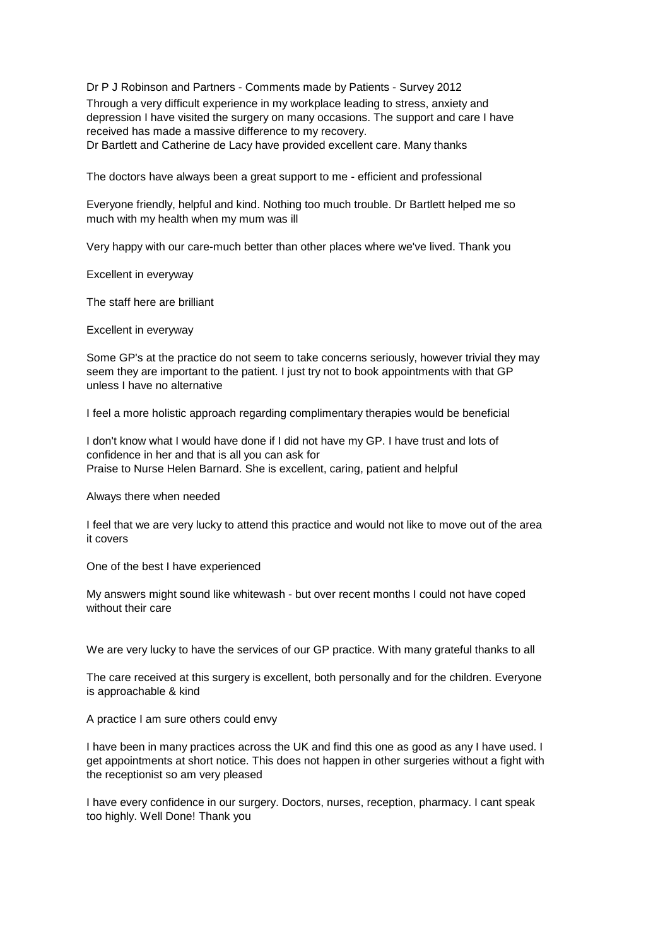Dr P J Robinson and Partners - Comments made by Patients - Survey 2012 Through a very difficult experience in my workplace leading to stress, anxiety and depression I have visited the surgery on many occasions. The support and care I have received has made a massive difference to my recovery. Dr Bartlett and Catherine de Lacy have provided excellent care. Many thanks

The doctors have always been a great support to me - efficient and professional

Everyone friendly, helpful and kind. Nothing too much trouble. Dr Bartlett helped me so much with my health when my mum was ill

Very happy with our care-much better than other places where we've lived. Thank you

Excellent in everyway

The staff here are brilliant

Excellent in everyway

Some GP's at the practice do not seem to take concerns seriously, however trivial they may seem they are important to the patient. I just try not to book appointments with that GP unless I have no alternative

I feel a more holistic approach regarding complimentary therapies would be beneficial

I don't know what I would have done if I did not have my GP. I have trust and lots of confidence in her and that is all you can ask for Praise to Nurse Helen Barnard. She is excellent, caring, patient and helpful

Always there when needed

I feel that we are very lucky to attend this practice and would not like to move out of the area it covers

One of the best I have experienced

My answers might sound like whitewash - but over recent months I could not have coped without their care

We are very lucky to have the services of our GP practice. With many grateful thanks to all

The care received at this surgery is excellent, both personally and for the children. Everyone is approachable & kind

A practice I am sure others could envy

I have been in many practices across the UK and find this one as good as any I have used. I get appointments at short notice. This does not happen in other surgeries without a fight with the receptionist so am very pleased

I have every confidence in our surgery. Doctors, nurses, reception, pharmacy. I cant speak too highly. Well Done! Thank you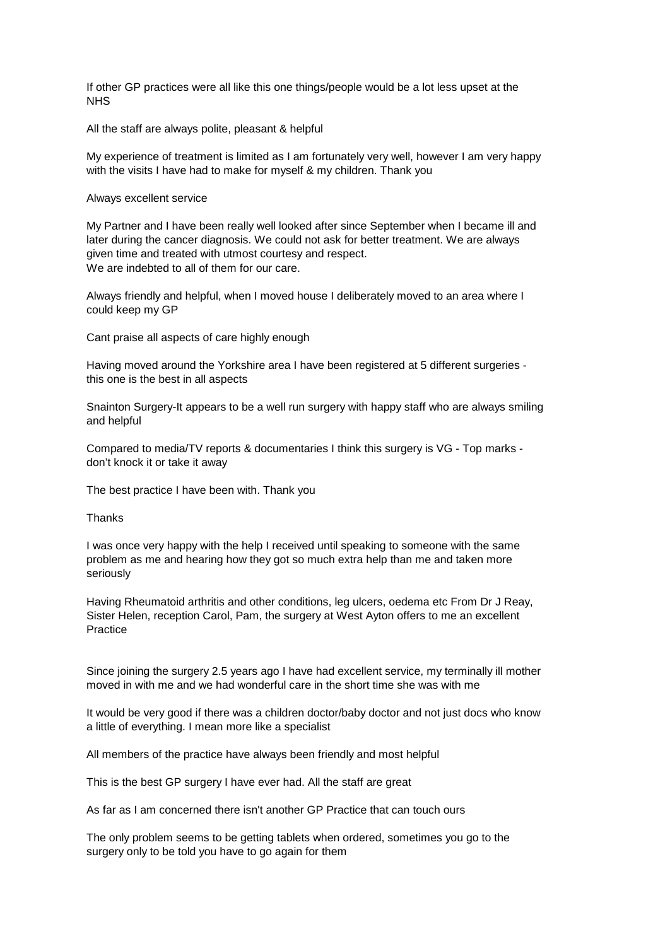If other GP practices were all like this one things/people would be a lot less upset at the **NHS** 

All the staff are always polite, pleasant & helpful

My experience of treatment is limited as I am fortunately very well, however I am very happy with the visits I have had to make for myself & my children. Thank you

Always excellent service

My Partner and I have been really well looked after since September when I became ill and later during the cancer diagnosis. We could not ask for better treatment. We are always given time and treated with utmost courtesy and respect. We are indebted to all of them for our care.

Always friendly and helpful, when I moved house I deliberately moved to an area where I could keep my GP

Cant praise all aspects of care highly enough

Having moved around the Yorkshire area I have been registered at 5 different surgeries this one is the best in all aspects

Snainton Surgery-It appears to be a well run surgery with happy staff who are always smiling and helpful

Compared to media/TV reports & documentaries I think this surgery is VG - Top marks don't knock it or take it away

The best practice I have been with. Thank you

**Thanks** 

I was once very happy with the help I received until speaking to someone with the same problem as me and hearing how they got so much extra help than me and taken more seriously

Having Rheumatoid arthritis and other conditions, leg ulcers, oedema etc From Dr J Reay, Sister Helen, reception Carol, Pam, the surgery at West Ayton offers to me an excellent Practice

Since joining the surgery 2.5 years ago I have had excellent service, my terminally ill mother moved in with me and we had wonderful care in the short time she was with me

It would be very good if there was a children doctor/baby doctor and not just docs who know a little of everything. I mean more like a specialist

All members of the practice have always been friendly and most helpful

This is the best GP surgery I have ever had. All the staff are great

As far as I am concerned there isn't another GP Practice that can touch ours

The only problem seems to be getting tablets when ordered, sometimes you go to the surgery only to be told you have to go again for them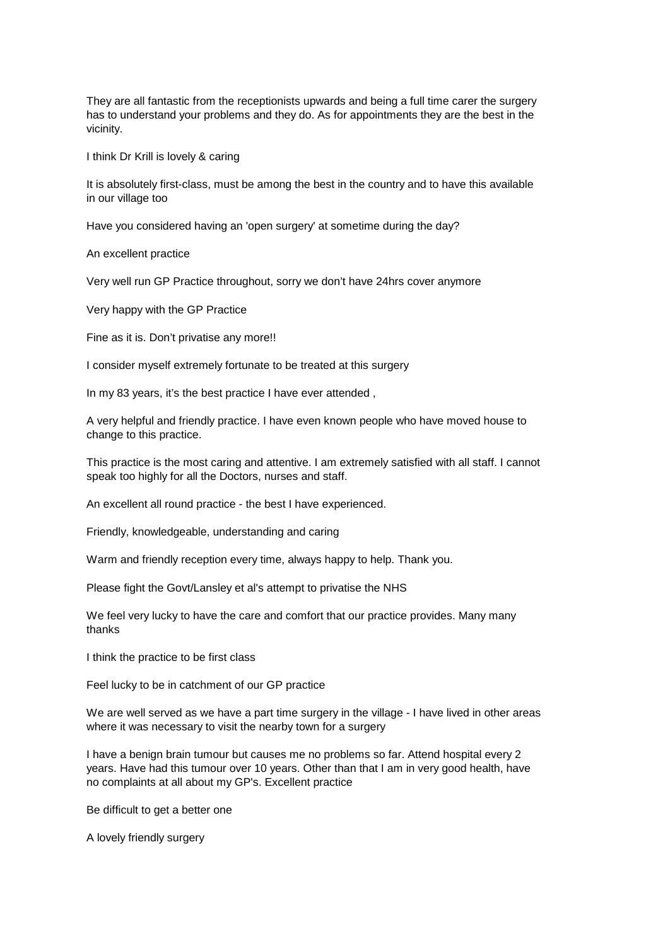They are all fantastic from the receptionists upwards and being a full time carer the surgery has to understand your problems and they do. As for appointments they are the best in the vicinity.

I think Dr Krill is lovely & caring

It is absolutely first-class, must be among the best in the country and to have this available in our village too

Have you considered having an 'open surgery' at sometime during the day?

An excellent practice

Very well run GP Practice throughout, sorry we don't have 24hrs cover anymore

Very happy with the GP Practice

Fine as it is. Don't privatise any more!!

I consider myself extremely fortunate to be treated at this surgery

In my 83 years, it's the best practice I have ever attended ,

A very helpful and friendly practice. I have even known people who have moved house to change to this practice.

This practice is the most caring and attentive. I am extremely satisfied with all staff. I cannot speak too highly for all the Doctors, nurses and staff.

An excellent all round practice - the best I have experienced.

Friendly, knowledgeable, understanding and caring

Warm and friendly reception every time, always happy to help. Thank you.

Please fight the Govt/Lansley et al's attempt to privatise the NHS

We feel very lucky to have the care and comfort that our practice provides. Many many thanks

I think the practice to be first class

Feel lucky to be in catchment of our GP practice

We are well served as we have a part time surgery in the village - I have lived in other areas where it was necessary to visit the nearby town for a surgery

I have a benign brain tumour but causes me no problems so far. Attend hospital every 2 years. Have had this tumour over 10 years. Other than that I am in very good health, have no complaints at all about my GP's. Excellent practice

Be difficult to get a better one

A lovely friendly surgery